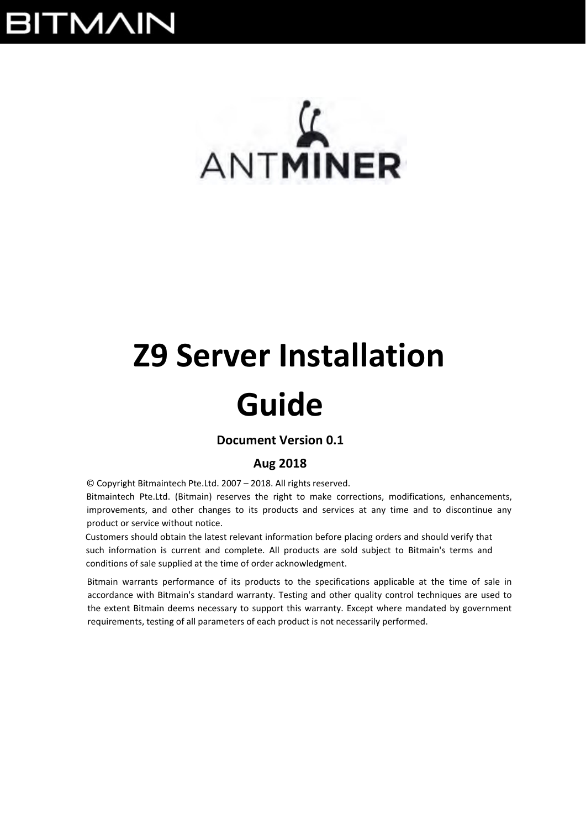## **BITMAIN**

# $\mathcal{L}$ ANTMINER

# **Z9 Server Installation**

## **Guide**

## **Document Version 0.1**

## **Aug 2018**

© Copyright Bitmaintech Pte.Ltd. 2007 – 2018. All rights reserved.

Bitmaintech Pte.Ltd. (Bitmain) reserves the right to make corrections, modifications, enhancements, improvements, and other changes to its products and services at any time and to discontinue any product or service without notice.

Customers should obtain the latest relevant information before placing orders and should verify that such information is current and complete. All products are sold subject to Bitmain's terms and conditions of sale supplied at the time of order acknowledgment.

Bitmain warrants performance of its products to the specifications applicable at the time of sale in accordance with Bitmain's standard warranty. Testing and other quality control techniques are used to the extent Bitmain deems necessary to support this warranty. Except where mandated by government requirements, testing of all parameters of each product is not necessarily performed.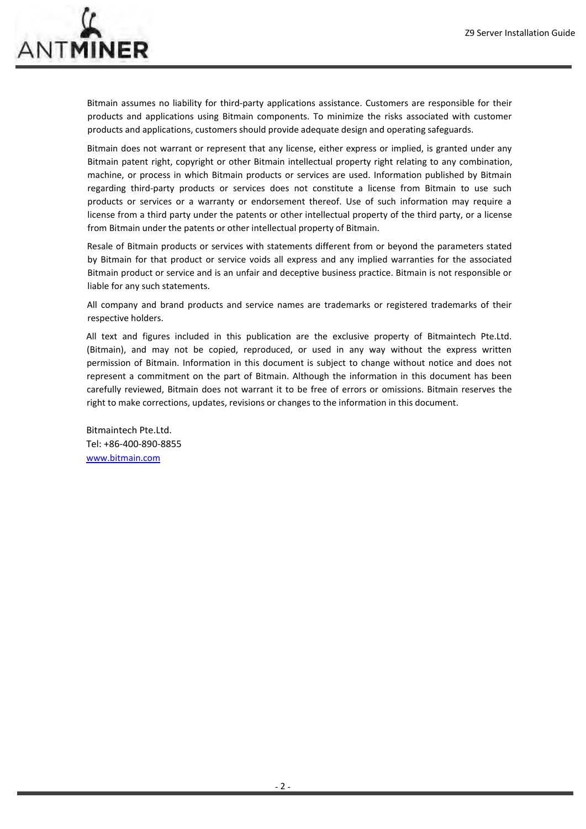

Bitmain assumes no liability for third-party applications assistance. Customers are responsible for their products and applications using Bitmain components. To minimize the risks associated with customer products and applications, customers should provide adequate design and operating safeguards.

Bitmain does not warrant or represent that any license, either express or implied, is granted under any Bitmain patent right, copyright or other Bitmain intellectual property right relating to any combination, machine, or process in which Bitmain products or services are used. Information published by Bitmain regarding third-party products or services does not constitute a license from Bitmain to use such products or services or a warranty or endorsement thereof. Use of such information may require a license from a third party under the patents or other intellectual property of the third party, or a license from Bitmain under the patents or other intellectual property of Bitmain.

Resale of Bitmain products or services with statements different from or beyond the parameters stated by Bitmain for that product or service voids all express and any implied warranties for the associated Bitmain product or service and is an unfair and deceptive business practice. Bitmain is not responsible or liable for any such statements.

All company and brand products and service names are trademarks or registered trademarks of their respective holders.

All text and figures included in this publication are the exclusive property of Bitmaintech Pte.Ltd. (Bitmain), and may not be copied, reproduced, or used in any way without the express written permission of Bitmain. Information in this document is subject to change without notice and does not represent a commitment on the part of Bitmain. Although the information in this document has been carefully reviewed, Bitmain does not warrant it to be free of errors or omissions. Bitmain reserves the right to make corrections, updates, revisions or changes to the information in this document.

Bitmaintech Pte.Ltd. Tel: +86‐400‐890‐8855 www.bitmain.com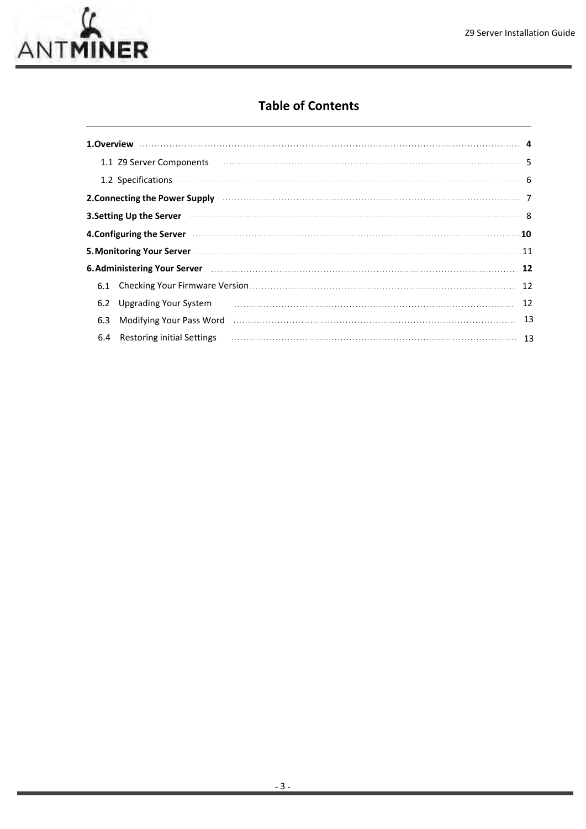

## **Table of Contents**

|     |                              | 1.1 Z9 Server Components последним положим положим положим положим по своим просто такими. 5                                                                                                                                       |     |
|-----|------------------------------|------------------------------------------------------------------------------------------------------------------------------------------------------------------------------------------------------------------------------------|-----|
|     |                              |                                                                                                                                                                                                                                    |     |
|     |                              | 2. Connecting the Power Supply <b>construction and the connection of the Connecting the Power Supply</b>                                                                                                                           |     |
|     |                              | 3. Setting Up the Server <b>Material Constitution Constructs</b> and the server of the server of the server of the server of the server of the server of the server of the server of the server of the server of the server of the |     |
|     |                              | 4. Configuring the Server <b>Material Configurer 20</b> 10                                                                                                                                                                         |     |
|     |                              |                                                                                                                                                                                                                                    |     |
|     |                              | 6. Administering Your Server 2000 Committee Committee Committee Committee Committee Committee Committee Commit                                                                                                                     |     |
| 6.1 |                              |                                                                                                                                                                                                                                    | -12 |
| 6.2 | <b>Upgrading Your System</b> |                                                                                                                                                                                                                                    | 12  |
| 6.3 |                              | Modifying Your Pass Word Museum Museum Museum Museum Museum Museum Museum 13                                                                                                                                                       |     |
| 6.4 | Restoring initial Settings   |                                                                                                                                                                                                                                    |     |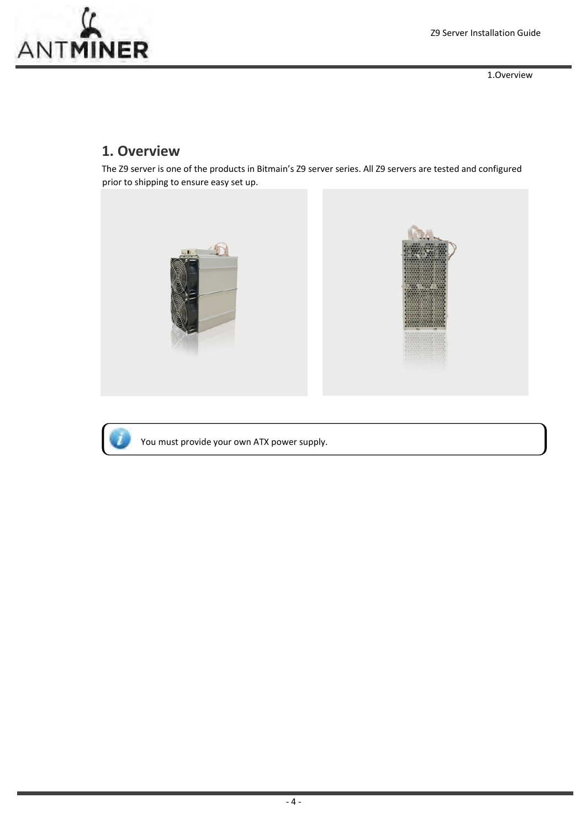

1.Overview

## **1. Overview**

The Z9 server is one of the products in Bitmain's Z9 server series. All Z9 servers are tested and configured prior to shipping to ensure easy set up.





You must provide your own ATX power supply.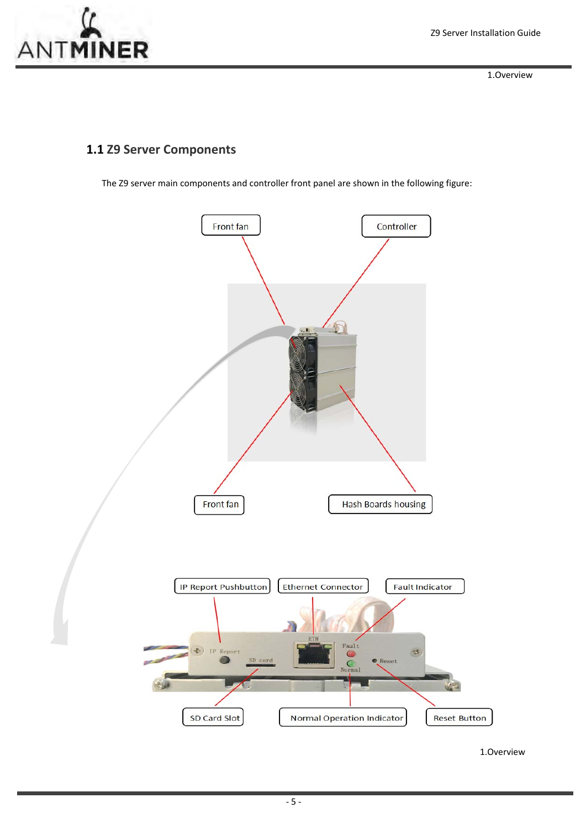1.Overview

## **1.1 Z9 Server Components**

The Z9 server main components and controller front panel are shown in the following figure:



1.Overview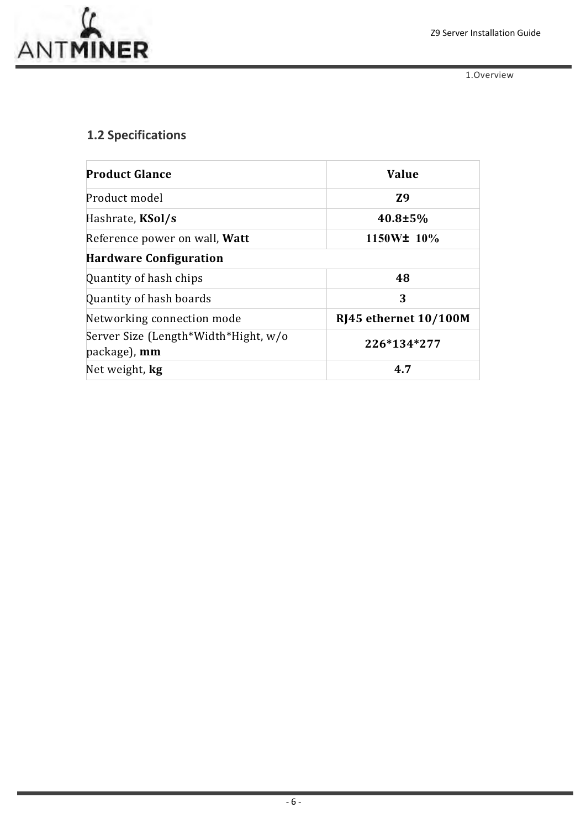

1.Overview

## **1.2 Specifications**

| <b>Product Glance</b>                                       | <b>Value</b>          |
|-------------------------------------------------------------|-----------------------|
| Product model                                               | <b>Z9</b>             |
| Hashrate, KSol/s                                            | $40.8 \pm 5\%$        |
| Reference power on wall, Watt                               | 1150W± 10%            |
| <b>Hardware Configuration</b>                               |                       |
| Quantity of hash chips                                      | 48                    |
| Quantity of hash boards                                     | 3                     |
| Networking connection mode                                  | RJ45 ethernet 10/100M |
| Server Size (Length*Width*Hight, w/o<br>package), <b>mm</b> | 226*134*277           |
| Net weight, <b>kg</b>                                       | 4.7                   |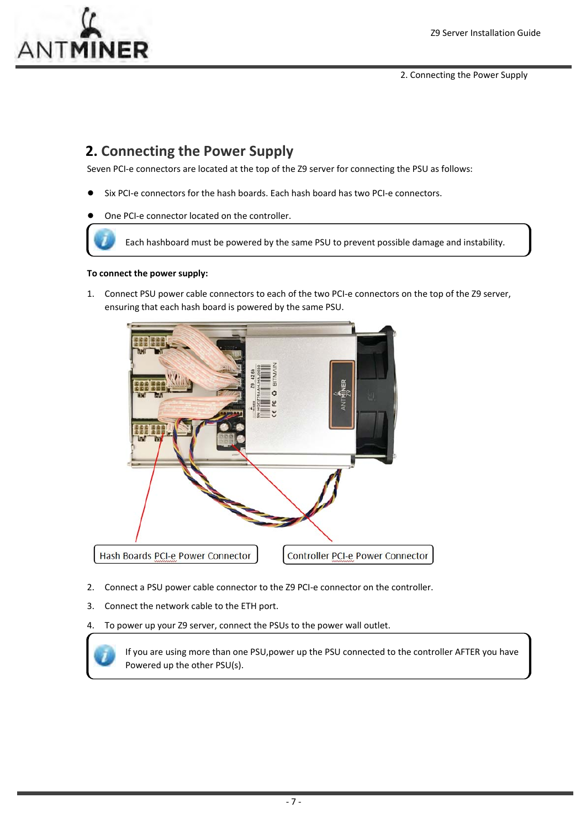

2. Connecting the Power Supply

## **2. Connecting the Power Supply**

Seven PCI-e connectors are located at the top of the Z9 server for connecting the PSU as follows:

- Six PCI-e connectors for the hash boards. Each hash board has two PCI-e connectors.
- One PCI-e connector located on the controller.

Each hashboard must be powered by the same PSU to prevent possible damage and instability.

#### **To connect the power supply:**

1. Connect PSU power cable connectors to each of the two PCI‐e connectors on the top of the Z9 server, ensuring that each hash board is powered by the same PSU.



- 2. Connect a PSU power cable connector to the Z9 PCI-e connector on the controller.
- 3. Connect the network cable to the ETH port.

4. To power up your Z9 server, connect the PSUs to the power wall outlet.

If you are using more than one PSU,power up the PSU connected to the controller AFTER you have Powered up the other PSU(s).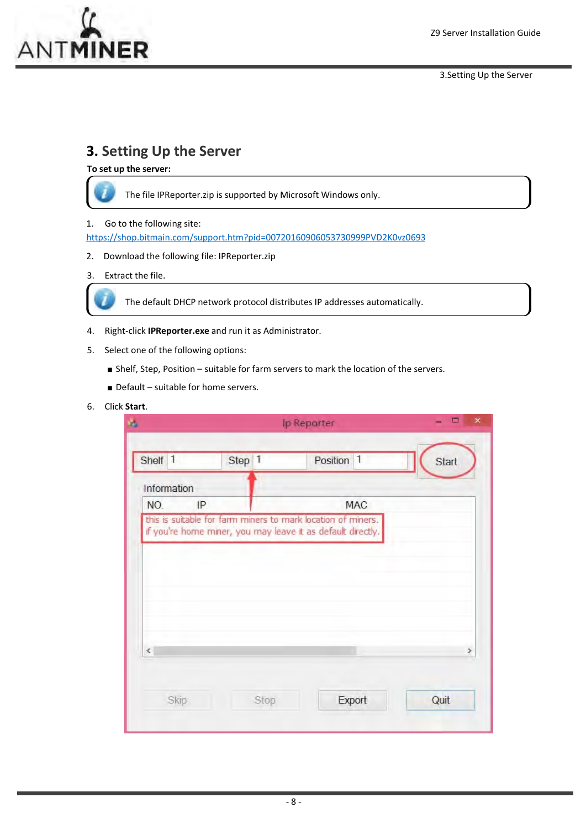

3.Setting Up the Server

## **3. Setting Up the Server**

**To set up the server:**



The file IPReporter.zip is supported by Microsoft Windows only.

#### 1. Go to the following site:

https://shop.bitmain.com/support.htm?pid=00720160906053730999PVD2K0vz0693

2. Download the following file: IPReporter.zip

### 3. Extract the file.



The default DHCP network protocol distributes IP addresses automatically.

- 4. Right‐click **IPReporter.exe** and run it as Administrator.
- 5. Select one of the following options:
	- Shelf, Step, Position suitable for farm servers to mark the location of the servers.
	- Default suitable for home servers.

### 6. Click **Start**.

| Shelf 1     | Step<br>$\vert$ | Position<br>$\mathbb{1}$                                                                                                    | Start |
|-------------|-----------------|-----------------------------------------------------------------------------------------------------------------------------|-------|
| Information |                 |                                                                                                                             |       |
| NO.<br>IP   |                 | <b>MAC</b>                                                                                                                  |       |
|             |                 | this is suitable for farm miners to mark location of miners.<br>if you're home miner, you may leave it as default directly. |       |
|             |                 |                                                                                                                             |       |
|             |                 |                                                                                                                             |       |
|             |                 |                                                                                                                             |       |
|             |                 |                                                                                                                             |       |
|             |                 |                                                                                                                             |       |
|             |                 |                                                                                                                             |       |
|             |                 |                                                                                                                             |       |
| $\epsilon$  |                 |                                                                                                                             | ×     |
|             |                 |                                                                                                                             |       |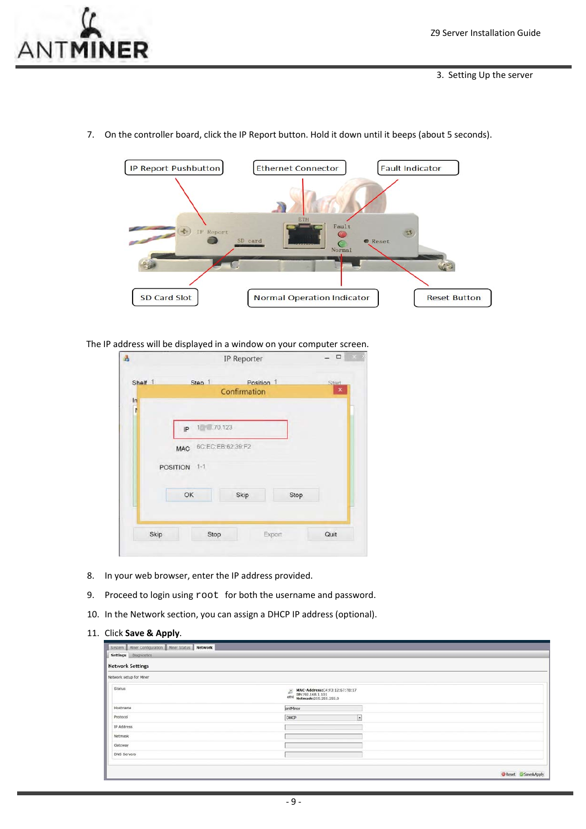



7. On the controller board, click the IP Report button. Hold it down until it beeps (about 5 seconds).

The IP address will be displayed in a window on your computer screen.

| Shelf 1 | Step 1                          | Position 1   |        | Start |
|---------|---------------------------------|--------------|--------|-------|
| $\ln$   |                                 | Confirmation |        | ×     |
| ł       |                                 |              |        |       |
|         | $1 - 70.123$                    |              |        |       |
|         | IP                              |              |        |       |
|         | 6C:EC:EB:62:39:F2<br><b>MAC</b> |              |        |       |
|         |                                 |              |        |       |
|         | POSITION 1-1                    |              |        |       |
|         |                                 |              |        |       |
|         | OK                              | Skip         | Stop   |       |
|         |                                 |              |        |       |
|         |                                 |              |        |       |
| Skip    | Stop                            |              | Export | Quit  |

- 8. In your web browser, enter the IP address provided.
- 9. Proceed to login using  $root$  for both the username and password.
- 10. In the Network section, you can assign a DHCP IP address (optional).
- 11. Click **Save & Apply**.

| System   Miner Configuration   Miner Status   Network<br>Settings Diagnostics |                                                                                         |                  |
|-------------------------------------------------------------------------------|-----------------------------------------------------------------------------------------|------------------|
| <b>Network Settings</b>                                                       |                                                                                         |                  |
| Network setup for Miner                                                       |                                                                                         |                  |
| Status                                                                        | MAC-Address:C4:F3:12:67:7B:17<br>IP:192.168.1.101<br>Netmask:255.255.255.0<br>E<br>etho |                  |
| Hostname                                                                      | antMiner                                                                                |                  |
| Protocol                                                                      | DHCP<br>$\cdot$                                                                         |                  |
| IP Address                                                                    |                                                                                         |                  |
| Netmask                                                                       |                                                                                         |                  |
| Gateway                                                                       |                                                                                         |                  |
| DNS Servers                                                                   |                                                                                         |                  |
|                                                                               |                                                                                         |                  |
|                                                                               |                                                                                         | Reset Save&Apply |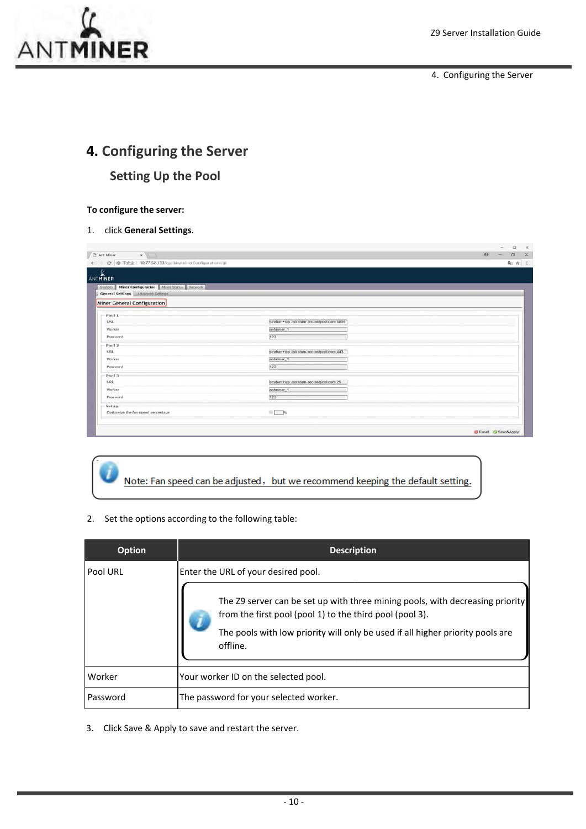

4. Configuring the Server

## **4. Configuring the Server Setting Up the Pool**

#### **To configure the server:**

1. click **General Settings**.

| C   3 不安全   10.77.52.133/cgi-bin/minerConfiguration.cgi |                                            | 配 立 三 |
|---------------------------------------------------------|--------------------------------------------|-------|
| ANTMINER                                                |                                            |       |
|                                                         |                                            |       |
| System   Miner Configuration   Miner Status   Network   |                                            |       |
| General Settings Advanced Settings                      |                                            |       |
| Miner General Configuration                             |                                            |       |
| Pool 1                                                  |                                            |       |
| URL                                                     | stratum+tcp://stratum-zec.antpool.com 8899 |       |
| Worker                                                  | antminer <sub>1</sub>                      |       |
| Password                                                | 123                                        |       |
| Pool 2                                                  |                                            |       |
| URL                                                     | stratum+tcp://stratum-zec.antpool.com.443  |       |
| Worker                                                  | antminer <sub>1</sub>                      |       |
| Password                                                | 123                                        |       |
| Pool 3                                                  |                                            |       |
| URL                                                     | stratum+tcp://stratum-zec.antpool.com.25   |       |
| Worker                                                  | antminer <sub>1</sub>                      |       |
| Password                                                | 123                                        |       |
| Setup                                                   |                                            |       |
| Customize the fan speed percentage                      | $\Box$ %                                   |       |
|                                                         |                                            |       |

## Note: Fan speed can be adjusted, but we recommend keeping the default setting.

2. Set the options according to the following table:

| <b>Option</b> | <b>Description</b>                                                                                                                                                                                                                      |
|---------------|-----------------------------------------------------------------------------------------------------------------------------------------------------------------------------------------------------------------------------------------|
| Pool URL      | Enter the URL of your desired pool.                                                                                                                                                                                                     |
|               | The Z9 server can be set up with three mining pools, with decreasing priority<br>from the first pool (pool 1) to the third pool (pool 3).<br>The pools with low priority will only be used if all higher priority pools are<br>offline. |
| Worker        | Your worker ID on the selected pool.                                                                                                                                                                                                    |
| Password      | The password for your selected worker.                                                                                                                                                                                                  |

3. Click Save & Apply to save and restart the server.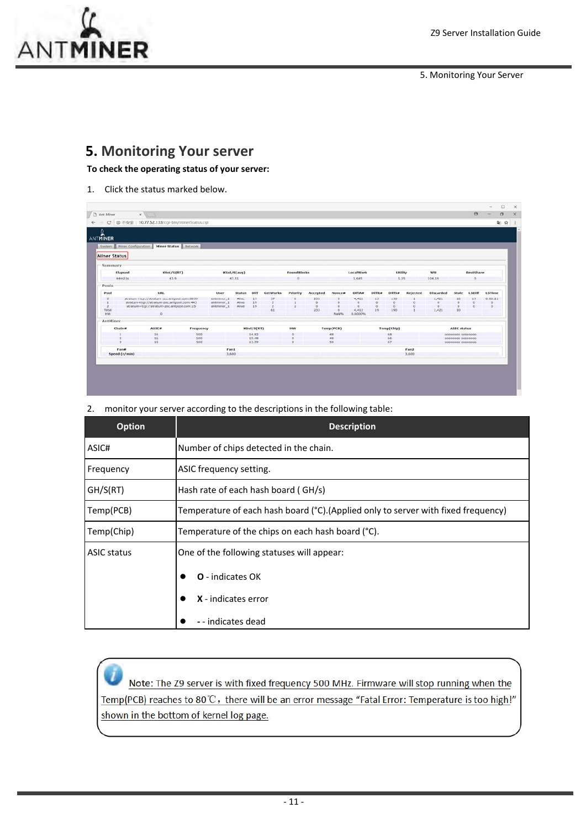

5. Monitoring Your Server

## **5. Monitoring Your server**

**To check the operating status of your server:**

1. Click the status marked below.

| ANTMINER<br>System Hiner Configuration |                                                                                          | Miner Status Network |                          |                  |                |          |                    |                |                     |                  |                 |                 |          |                   |                                        |                  |                      |  |
|----------------------------------------|------------------------------------------------------------------------------------------|----------------------|--------------------------|------------------|----------------|----------|--------------------|----------------|---------------------|------------------|-----------------|-----------------|----------|-------------------|----------------------------------------|------------------|----------------------|--|
| <b>Miner Status</b>                    |                                                                                          |                      |                          |                  |                |          |                    |                |                     |                  |                 |                 |          |                   |                                        |                  |                      |  |
| Summary                                |                                                                                          |                      |                          |                  |                |          |                    |                |                     |                  |                 |                 |          |                   |                                        |                  |                      |  |
| Elapsed                                | KSol/S(RT)                                                                               |                      |                          | KSol/S(avg)      |                |          | <b>FoundBlocks</b> |                |                     | LocalWork        |                 | Utility         |          | wu                |                                        | <b>BestShare</b> |                      |  |
| 44m21s                                 | 43.9                                                                                     |                      |                          | 43.51            |                |          | $\Omega$           |                |                     | 1,645            |                 | 5.25            |          | 104.19            |                                        | $\circ$          |                      |  |
| Pools                                  |                                                                                          |                      |                          |                  |                |          |                    |                |                     |                  |                 |                 |          |                   |                                        |                  |                      |  |
| Pool                                   | <b>URL</b>                                                                               |                      | User                     | <b>Status</b>    | Diff           | GetWorks | Priority           | Accepted       | Nonce#              | <b>DiffA#</b>    | <b>Diffice</b>  | Diffs#          | Rejected | Discarded         | Stale                                  | <b>LSDiff</b>    | <b>LSTime</b>        |  |
| $\alpha$                               | stratum +tcp://stratum-zec.antpool.com:8899<br>stratum+tcp://stratum-zec.antpool.com:443 |                      | antminer_1<br>antminer_1 | Alive.<br>Alive. | 19<br>19       | 57       |                    | 233<br>$\circ$ | $\circ$<br>$\alpha$ | 4,412<br>$\circ$ | 19<br>$\sigma$  | 190<br>$\alpha$ |          | 1,421<br>$\Omega$ | 10                                     | 19               | .0:00:21<br>$\Omega$ |  |
| $\overline{2}$                         | stratum+tcp://stratum-zec.antpool.com:25                                                 |                      | antminer_1               | Alive            | 19             |          |                    | $\mathbf{0}$   | $\alpha$            | $\alpha$         | $\circ$         | $\circ$         | ó        | $\circ$           |                                        |                  | $\Omega$             |  |
| Total<br>HW                            | $\circ$                                                                                  |                      |                          |                  |                | 61       |                    | 233            | $\circ$<br>Natric   | 4,412<br>0.0000% | 19 <sup>°</sup> | 190             |          | 1,421             | 10                                     |                  |                      |  |
| AntMiner                               |                                                                                          |                      |                          |                  |                |          |                    |                |                     |                  |                 |                 |          |                   |                                        |                  |                      |  |
| $Chain$                                | <b>ASIC#</b>                                                                             | Frequency            |                          |                  | KSol/S(RT)     |          | <b>HW</b>          |                | Temp(PCB)           |                  |                 | Temp(Chip)      |          |                   | <b>ASIC status</b>                     |                  |                      |  |
|                                        | 16                                                                                       | 500                  |                          |                  | 14.82          |          | $\circ$            |                | 48                  |                  |                 | 68              |          |                   | 00000000 00000000                      |                  |                      |  |
|                                        | 16<br>16                                                                                 | 500<br>500           |                          |                  | 15.48<br>13.59 |          |                    |                | 48<br>50            |                  |                 | 66<br>67        |          |                   | 00000000 00000000<br>00000000 00000000 |                  |                      |  |
| Fan#                                   |                                                                                          |                      | Fan1                     |                  |                |          |                    |                |                     |                  |                 |                 | Fan2     |                   |                                        |                  |                      |  |
| Speed (r/min)                          |                                                                                          |                      | 3,600                    |                  |                |          |                    |                |                     |                  |                 |                 | 3,600    |                   |                                        |                  |                      |  |

2. monitor your server according to the descriptions in the following table:

| <b>Option</b>      | <b>Description</b>                                                                 |  |  |  |  |
|--------------------|------------------------------------------------------------------------------------|--|--|--|--|
| ASIC#              | Number of chips detected in the chain.                                             |  |  |  |  |
| Frequency          | ASIC frequency setting.                                                            |  |  |  |  |
| GH/S(RT)           | Hash rate of each hash board (GH/s)                                                |  |  |  |  |
| Temp(PCB)          | Temperature of each hash board (°C). (Applied only to server with fixed frequency) |  |  |  |  |
| Temp(Chip)         | Temperature of the chips on each hash board (°C).                                  |  |  |  |  |
| <b>ASIC status</b> | One of the following statuses will appear:                                         |  |  |  |  |
|                    | <b>O</b> - indicates OK                                                            |  |  |  |  |
|                    | X - indicates error                                                                |  |  |  |  |
|                    | - - indicates dead                                                                 |  |  |  |  |

Note: The Z9 server is with fixed frequency 500 MHz. Firmware will stop running when the Temp(PCB) reaches to 80°C, there will be an error message "Fatal Error: Temperature is too high!" shown in the bottom of kernel log page.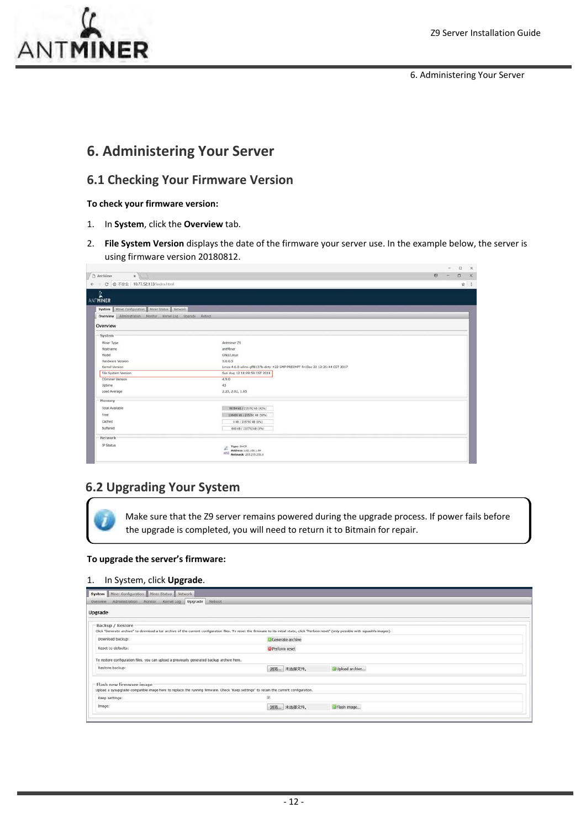

6. Administering Your Server

## **6. Administering Your Server**

## **6.1 Checking Your Firmware Version**

#### **To check your firmware version:**

- 1. In **System**, click the **Overview** tab.
- 2. **File System Version** displays the date of the firmware your server use. In the example below, the server is using firmware version 20180812.

| $\bigcap$ Ant Miner<br>$x \sqrt{1}$                        |                                                                                |  |     |
|------------------------------------------------------------|--------------------------------------------------------------------------------|--|-----|
| ← → C © 不安全   10.77.52.133/index.html                      |                                                                                |  | ☆ ÷ |
| n,                                                         |                                                                                |  |     |
| <b>ANTMINER</b>                                            |                                                                                |  |     |
| System Miner Configuration Miner Status Network            |                                                                                |  |     |
| Overview Administration Monitor Kernel Log Upgrade Reliock |                                                                                |  |     |
| Overview                                                   |                                                                                |  |     |
| System                                                     |                                                                                |  |     |
| Miner Type                                                 | Antminer 29                                                                    |  |     |
| Hostname                                                   | archliner                                                                      |  |     |
| Model                                                      | GNU/Linux                                                                      |  |     |
| Hardware Version                                           | 9.0.0.5                                                                        |  |     |
| Kernel Version                                             | Linux 4.6.0-xilinx-gff8137b-dirty #22 SMP PREEMPT Fri Dec 22 12:25:44 CST 2017 |  |     |
| File System Version                                        | Sun Aug 12 18:09:59 CST 2018                                                   |  |     |
| CGminer Version                                            | 4,9,0                                                                          |  |     |
| Uptime                                                     | 43                                                                             |  |     |
| Load Average                                               | 2.23, 2.02, 1.85                                                               |  |     |
| Memory                                                     |                                                                                |  |     |
| <b>Total Available</b>                                     | 90784 5B / 235702 5B (42%)                                                     |  |     |
| Free:                                                      | 136000 kB / 235792 kB (58%)                                                    |  |     |
| Cached                                                     | 0 kB / 235792 kB (0%)                                                          |  |     |
| Buffered                                                   | 680 kB / 235792 kB (0%)                                                        |  |     |
| Network                                                    |                                                                                |  |     |
| IP Status                                                  | Type: DHCP<br>Ζ<br>Address: 192.168.1.99<br>stick<br>Netmask: 255.255.255.0    |  |     |

## **6.2 Upgrading Your System**

Make sure that the Z9 server remains powered during the upgrade process. If power fails before the upgrade is completed, you will need to return it to Bitmain for repair.

#### **To upgrade the server's firmware:**

#### 1. In System, click **Upgrade**.

| Miner Configuration Miner Status Network<br>System<br>Kernel Log Upgrade Reboot<br>Administration Monitor<br>Overview                                             |                                                                                                                                                                                                |  |
|-------------------------------------------------------------------------------------------------------------------------------------------------------------------|------------------------------------------------------------------------------------------------------------------------------------------------------------------------------------------------|--|
| Upgrade                                                                                                                                                           |                                                                                                                                                                                                |  |
| Backup / Restore                                                                                                                                                  | Click "Generate archive" to download a tar archive of the current configuration files. To reset the firmware to its initial state, click "Perform reset" (only possible with squashfs images). |  |
| Download backup:                                                                                                                                                  | Generate archive                                                                                                                                                                               |  |
| Reset to defaults:                                                                                                                                                | <b>Perform reset</b>                                                                                                                                                                           |  |
| To restore configuration files, you can upload a previously generated backup archive here.                                                                        |                                                                                                                                                                                                |  |
| Restore backup:                                                                                                                                                   | 浏览 未选择文件。<br>Upload archive                                                                                                                                                                    |  |
| Flash new firmware image<br>Upload a sysupgrade-compatible image here to replace the running firmware. Check "Keep settings" to retain the current configuration. |                                                                                                                                                                                                |  |
| Keep settings:                                                                                                                                                    | 菌                                                                                                                                                                                              |  |
| Image:                                                                                                                                                            | 调选 未选择文件。<br>Flash Image                                                                                                                                                                       |  |
|                                                                                                                                                                   |                                                                                                                                                                                                |  |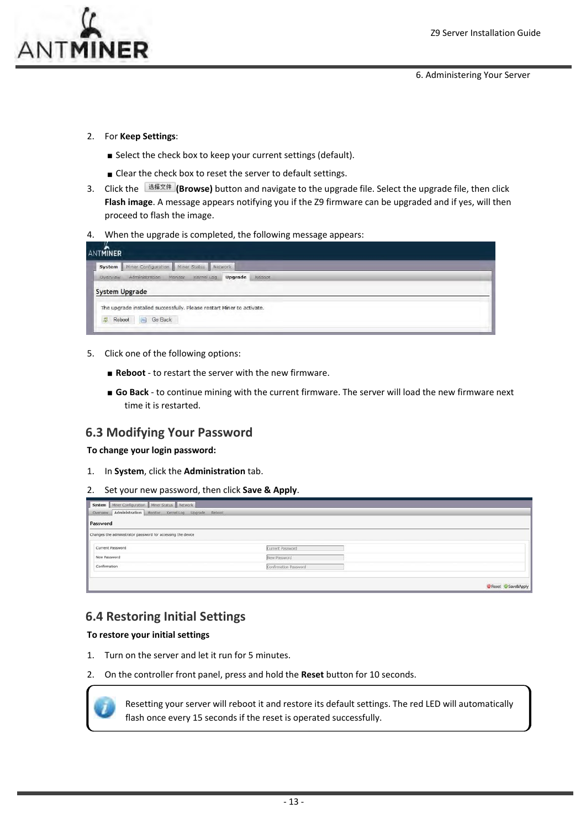

6. Administering Your Server

- 2. For **Keep Settings**:
	- Select the check box to keep your current settings (default).
	- Clear the check box to reset the server to default settings.
- 3. Click the **(Browse)** button and navigate to the upgrade file. Select the upgrade file, then click **Flash image**. A message appears notifying you if the Z9 firmware can be upgraded and if yes, will then proceed to flash the image.
- 4. When the upgrade is completed, the following message appears:

| <b>ANTMINER</b>                                                       |  |
|-----------------------------------------------------------------------|--|
| <b>System</b> Miner Configuration Miner Status Network                |  |
| Kernel Log Upgrade<br>Administration<br>Monitor<br>Overview<br>Reboot |  |
| System Upgrade                                                        |  |
| The upgrade installed successfully. Please restart Miner to activate. |  |
|                                                                       |  |
|                                                                       |  |

- 5. Click one of the following options:
	- **Reboot** to restart the server with the new firmware.
	- **Go Back** ‐ to continue mining with the current firmware. The server will load the new firmware next time it is restarted.

## **6.3 Modifying Your Password**

**To change your login password:**

- 1. In **System**, click the **Administration** tab.
- 2. Set your new password, then click **Save & Apply**.

| System Miner Configuration Miner Status Network             |                       |                  |
|-------------------------------------------------------------|-----------------------|------------------|
| Overview Administration Monitor Kernel Log Upgrade Reboot   |                       |                  |
| Password                                                    |                       |                  |
| Changes the administrator password for accessing the device |                       |                  |
| Current Password                                            | Current Password      |                  |
| New Password                                                | New Password          |                  |
| Confirmation                                                | Confirmation Password |                  |
|                                                             |                       |                  |
|                                                             |                       | Reset Save&Apply |

## **6.4 Restoring Initial Settings**

#### **To restore your initial settings**

- 1. Turn on the server and let it run for 5 minutes.
- 2. On the controller front panel, press and hold the **Reset** button for 10 seconds.



Resetting your server will reboot it and restore its default settings. The red LED will automatically flash once every 15 seconds if the reset is operated successfully.